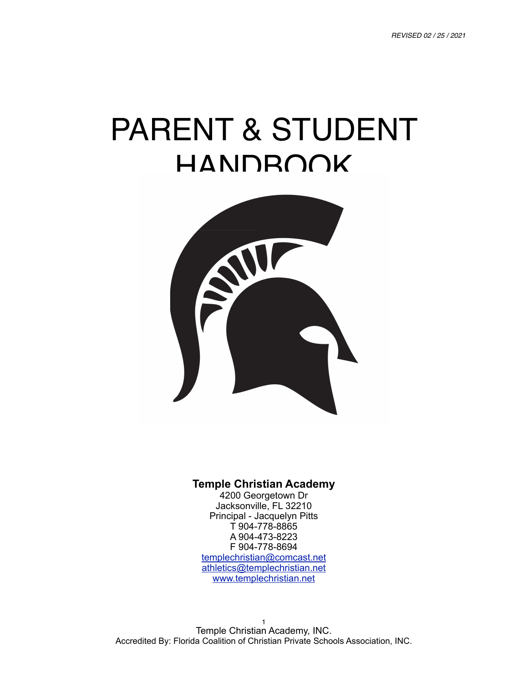# PARENT & STUDENT HANDBOOK



#### **Temple Christian Academy**

4200 Georgetown Dr Jacksonville, FL 32210 Principal - Jacquelyn Pitts T 904-778-8865 A 904-473-8223 F 904-778-8694 [templechristian@comcast.net](mailto:templechristian@comcast.net) [athletics@templechristian.net](mailto:athletics@templechristian.net) [www.templechristian.net](http://www.templechristian.net)

1 Temple Christian Academy, INC. Accredited By: Florida Coalition of Christian Private Schools Association, INC.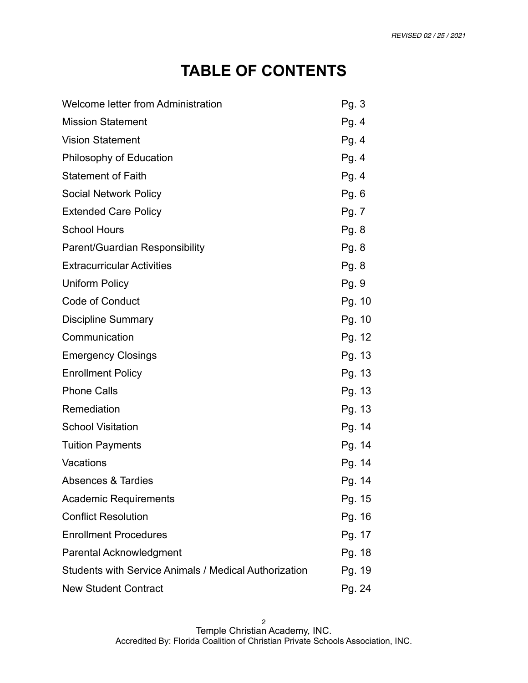# **TABLE OF CONTENTS**

| Welcome letter from Administration                           | Pg. 3  |
|--------------------------------------------------------------|--------|
| <b>Mission Statement</b>                                     | Pg. 4  |
| <b>Vision Statement</b>                                      | Pg. 4  |
| Philosophy of Education                                      | Pg.4   |
| <b>Statement of Faith</b>                                    | Pg. 4  |
| <b>Social Network Policy</b>                                 | Pg.6   |
| <b>Extended Care Policy</b>                                  | Pg. 7  |
| <b>School Hours</b>                                          | Pg. 8  |
| Parent/Guardian Responsibility                               | Pg. 8  |
| <b>Extracurricular Activities</b>                            | Pg. 8  |
| <b>Uniform Policy</b>                                        | Pg. 9  |
| <b>Code of Conduct</b>                                       | Pg. 10 |
| <b>Discipline Summary</b>                                    | Pg. 10 |
| Communication                                                | Pg. 12 |
| <b>Emergency Closings</b>                                    | Pg. 13 |
| <b>Enrollment Policy</b>                                     | Pg. 13 |
| <b>Phone Calls</b>                                           | Pg. 13 |
| Remediation                                                  | Pg. 13 |
| <b>School Visitation</b>                                     | Pg. 14 |
| <b>Tuition Payments</b>                                      | Pg. 14 |
| Vacations                                                    | Pg. 14 |
| Absences & Tardies                                           | Pg. 14 |
| <b>Academic Requirements</b>                                 | Pg. 15 |
| <b>Conflict Resolution</b>                                   | Pg. 16 |
| <b>Enrollment Procedures</b>                                 | Pg. 17 |
| <b>Parental Acknowledgment</b>                               | Pg. 18 |
| <b>Students with Service Animals / Medical Authorization</b> | Pg. 19 |
| <b>New Student Contract</b>                                  | Pg. 24 |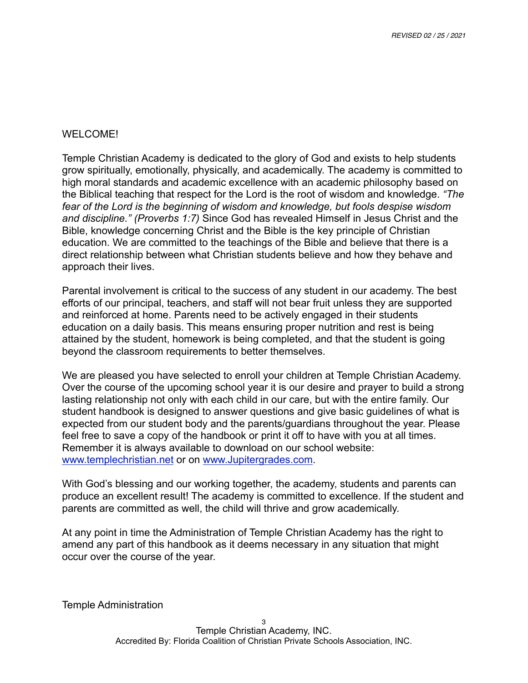#### WELCOME!

Temple Christian Academy is dedicated to the glory of God and exists to help students grow spiritually, emotionally, physically, and academically. The academy is committed to high moral standards and academic excellence with an academic philosophy based on the Biblical teaching that respect for the Lord is the root of wisdom and knowledge. *"The fear of the Lord is the beginning of wisdom and knowledge, but fools despise wisdom and discipline." (Proverbs 1:7)* Since God has revealed Himself in Jesus Christ and the Bible, knowledge concerning Christ and the Bible is the key principle of Christian education. We are committed to the teachings of the Bible and believe that there is a direct relationship between what Christian students believe and how they behave and approach their lives.

Parental involvement is critical to the success of any student in our academy. The best efforts of our principal, teachers, and staff will not bear fruit unless they are supported and reinforced at home. Parents need to be actively engaged in their students education on a daily basis. This means ensuring proper nutrition and rest is being attained by the student, homework is being completed, and that the student is going beyond the classroom requirements to better themselves.

We are pleased you have selected to enroll your children at Temple Christian Academy. Over the course of the upcoming school year it is our desire and prayer to build a strong lasting relationship not only with each child in our care, but with the entire family. Our student handbook is designed to answer questions and give basic guidelines of what is expected from our student body and the parents/guardians throughout the year. Please feel free to save a copy of the handbook or print it off to have with you at all times. Remember it is always available to download on our school website: [www.templechristian.net](http://www.templechristian.net) or on [www.Jupitergrades.com.](http://www.Jupitergrades.com)

With God's blessing and our working together, the academy, students and parents can produce an excellent result! The academy is committed to excellence. If the student and parents are committed as well, the child will thrive and grow academically.

At any point in time the Administration of Temple Christian Academy has the right to amend any part of this handbook as it deems necessary in any situation that might occur over the course of the year.

Temple Administration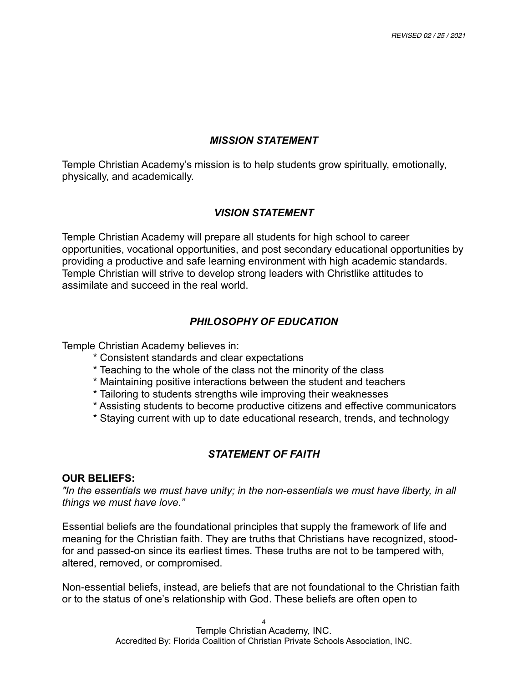## *MISSION STATEMENT*

Temple Christian Academy's mission is to help students grow spiritually, emotionally, physically, and academically.

## *VISION STATEMENT*

Temple Christian Academy will prepare all students for high school to career opportunities, vocational opportunities, and post secondary educational opportunities by providing a productive and safe learning environment with high academic standards. Temple Christian will strive to develop strong leaders with Christlike attitudes to assimilate and succeed in the real world.

# *PHILOSOPHY OF EDUCATION*

Temple Christian Academy believes in:

- \* Consistent standards and clear expectations
- \* Teaching to the whole of the class not the minority of the class
- \* Maintaining positive interactions between the student and teachers
- \* Tailoring to students strengths wile improving their weaknesses
- \* Assisting students to become productive citizens and effective communicators
- \* Staying current with up to date educational research, trends, and technology

# *STATEMENT OF FAITH*

#### **OUR BELIEFS:**

*"In the essentials we must have unity; in the non-essentials we must have liberty, in all things we must have love."* 

Essential beliefs are the foundational principles that supply the framework of life and meaning for the Christian faith. They are truths that Christians have recognized, stoodfor and passed-on since its earliest times. These truths are not to be tampered with, altered, removed, or compromised.

Non-essential beliefs, instead, are beliefs that are not foundational to the Christian faith or to the status of one's relationship with God. These beliefs are often open to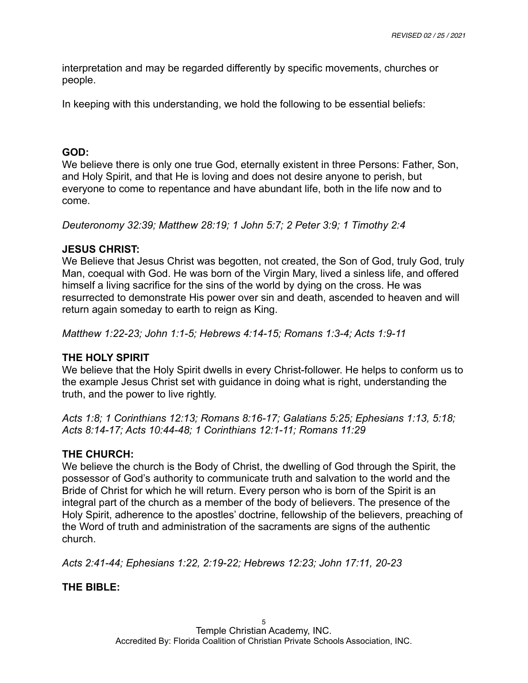interpretation and may be regarded differently by specific movements, churches or people.

In keeping with this understanding, we hold the following to be essential beliefs:

#### **GOD:**

We believe there is only one true God, eternally existent in three Persons: Father, Son, and Holy Spirit, and that He is loving and does not desire anyone to perish, but everyone to come to repentance and have abundant life, both in the life now and to come.

*Deuteronomy 32:39; Matthew 28:19; 1 John 5:7; 2 Peter 3:9; 1 Timothy 2:4* 

## **JESUS CHRIST:**

We Believe that Jesus Christ was begotten, not created, the Son of God, truly God, truly Man, coequal with God. He was born of the Virgin Mary, lived a sinless life, and offered himself a living sacrifice for the sins of the world by dying on the cross. He was resurrected to demonstrate His power over sin and death, ascended to heaven and will return again someday to earth to reign as King.

*Matthew 1:22-23; John 1:1-5; Hebrews 4:14-15; Romans 1:3-4; Acts 1:9-11* 

# **THE HOLY SPIRIT**

We believe that the Holy Spirit dwells in every Christ-follower. He helps to conform us to the example Jesus Christ set with guidance in doing what is right, understanding the truth, and the power to live rightly.

*Acts 1:8; 1 Corinthians 12:13; Romans 8:16-17; Galatians 5:25; Ephesians 1:13, 5:18; Acts 8:14-17; Acts 10:44-48; 1 Corinthians 12:1-11; Romans 11:29*

# **THE CHURCH:**

We believe the church is the Body of Christ, the dwelling of God through the Spirit, the possessor of God's authority to communicate truth and salvation to the world and the Bride of Christ for which he will return. Every person who is born of the Spirit is an integral part of the church as a member of the body of believers. The presence of the Holy Spirit, adherence to the apostles' doctrine, fellowship of the believers, preaching of the Word of truth and administration of the sacraments are signs of the authentic church.

*Acts 2:41-44; Ephesians 1:22, 2:19-22; Hebrews 12:23; John 17:11, 20-23* 

**THE BIBLE:**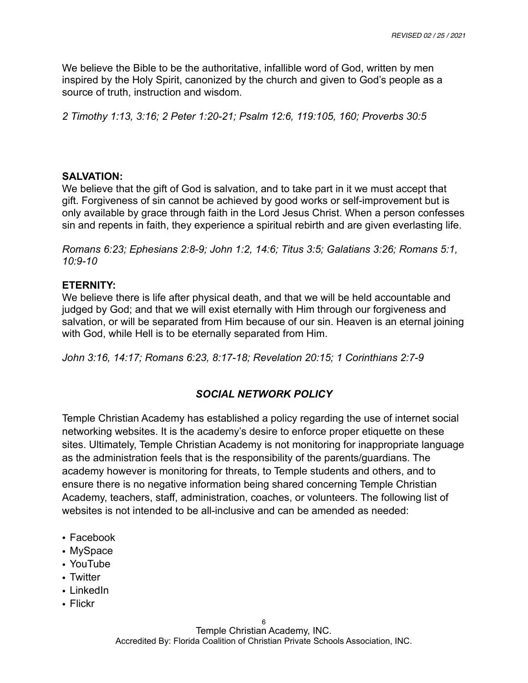We believe the Bible to be the authoritative, infallible word of God, written by men inspired by the Holy Spirit, canonized by the church and given to God's people as a source of truth, instruction and wisdom.

*2 Timothy 1:13, 3:16; 2 Peter 1:20-21; Psalm 12:6, 119:105, 160; Proverbs 30:5* 

#### **SALVATION:**

We believe that the gift of God is salvation, and to take part in it we must accept that gift. Forgiveness of sin cannot be achieved by good works or self-improvement but is only available by grace through faith in the Lord Jesus Christ. When a person confesses sin and repents in faith, they experience a spiritual rebirth and are given everlasting life.

*Romans 6:23; Ephesians 2:8-9; John 1:2, 14:6; Titus 3:5; Galatians 3:26; Romans 5:1, 10:9-10* 

#### **ETERNITY:**

We believe there is life after physical death, and that we will be held accountable and judged by God; and that we will exist eternally with Him through our forgiveness and salvation, or will be separated from Him because of our sin. Heaven is an eternal joining with God, while Hell is to be eternally separated from Him.

*John 3:16, 14:17; Romans 6:23, 8:17-18; Revelation 20:15; 1 Corinthians 2:7-9* 

# *SOCIAL NETWORK POLICY*

Temple Christian Academy has established a policy regarding the use of internet social networking websites. It is the academy's desire to enforce proper etiquette on these sites. Ultimately, Temple Christian Academy is not monitoring for inappropriate language as the administration feels that is the responsibility of the parents/guardians. The academy however is monitoring for threats, to Temple students and others, and to ensure there is no negative information being shared concerning Temple Christian Academy, teachers, staff, administration, coaches, or volunteers. The following list of websites is not intended to be all-inclusive and can be amended as needed:

- Facebook
- MySpace
- YouTube
- Twitter
- LinkedIn
- Flickr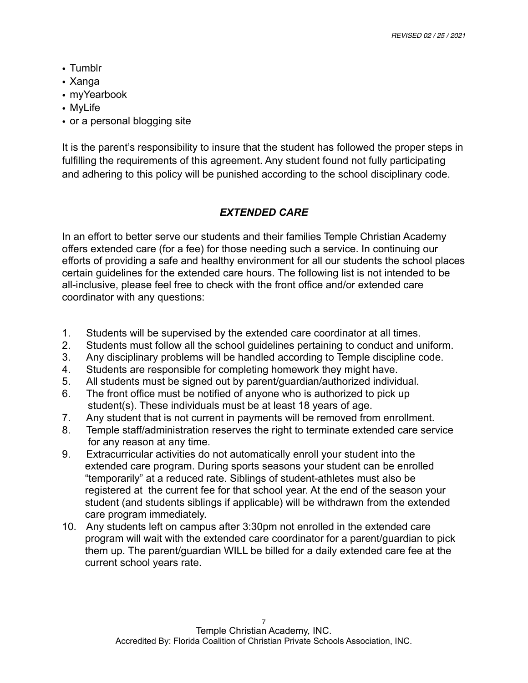- Tumblr
- Xanga
- myYearbook
- MyLife
- or a personal blogging site

It is the parent's responsibility to insure that the student has followed the proper steps in fulfilling the requirements of this agreement. Any student found not fully participating and adhering to this policy will be punished according to the school disciplinary code.

# *EXTENDED CARE*

In an effort to better serve our students and their families Temple Christian Academy offers extended care (for a fee) for those needing such a service. In continuing our efforts of providing a safe and healthy environment for all our students the school places certain guidelines for the extended care hours. The following list is not intended to be all-inclusive, please feel free to check with the front office and/or extended care coordinator with any questions:

- 1. Students will be supervised by the extended care coordinator at all times.
- 2. Students must follow all the school guidelines pertaining to conduct and uniform.
- 3. Any disciplinary problems will be handled according to Temple discipline code.
- 4. Students are responsible for completing homework they might have.
- 5. All students must be signed out by parent/guardian/authorized individual.
- 6. The front office must be notified of anyone who is authorized to pick up student(s). These individuals must be at least 18 years of age.
- 7. Any student that is not current in payments will be removed from enrollment.
- 8. Temple staff/administration reserves the right to terminate extended care service for any reason at any time.
- 9. Extracurricular activities do not automatically enroll your student into the extended care program. During sports seasons your student can be enrolled "temporarily" at a reduced rate. Siblings of student-athletes must also be registered at the current fee for that school year. At the end of the season your student (and students siblings if applicable) will be withdrawn from the extended care program immediately.
- 10. Any students left on campus after 3:30pm not enrolled in the extended care program will wait with the extended care coordinator for a parent/guardian to pick them up. The parent/guardian WILL be billed for a daily extended care fee at the current school years rate.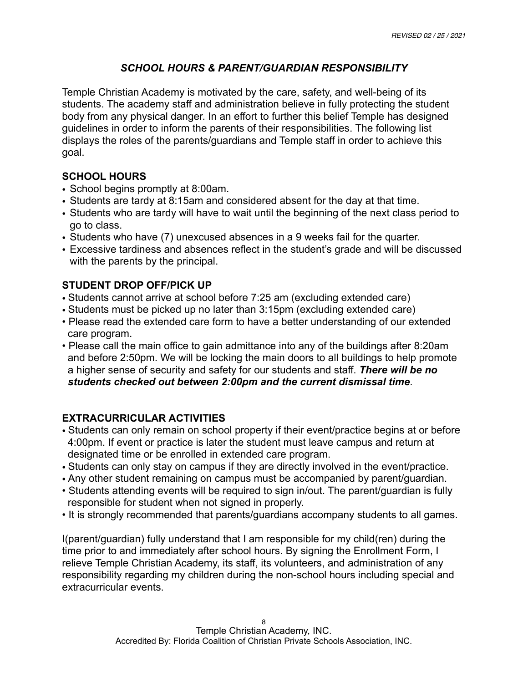# *SCHOOL HOURS & PARENT/GUARDIAN RESPONSIBILITY*

Temple Christian Academy is motivated by the care, safety, and well-being of its students. The academy staff and administration believe in fully protecting the student body from any physical danger. In an effort to further this belief Temple has designed guidelines in order to inform the parents of their responsibilities. The following list displays the roles of the parents/guardians and Temple staff in order to achieve this goal.

## **SCHOOL HOURS**

- School begins promptly at 8:00am.
- Students are tardy at 8:15am and considered absent for the day at that time.
- Students who are tardy will have to wait until the beginning of the next class period to go to class.
- Students who have (7) unexcused absences in a 9 weeks fail for the quarter.
- Excessive tardiness and absences reflect in the student's grade and will be discussed with the parents by the principal.

## **STUDENT DROP OFF/PICK UP**

- Students cannot arrive at school before 7:25 am (excluding extended care)
- Students must be picked up no later than 3:15pm (excluding extended care)
- Please read the extended care form to have a better understanding of our extended care program.
- Please call the main office to gain admittance into any of the buildings after 8:20am and before 2:50pm. We will be locking the main doors to all buildings to help promote a higher sense of security and safety for our students and staff. *There will be no students checked out between 2:00pm and the current dismissal time*.

# **EXTRACURRICULAR ACTIVITIES**

- Students can only remain on school property if their event/practice begins at or before 4:00pm. If event or practice is later the student must leave campus and return at designated time or be enrolled in extended care program.
- Students can only stay on campus if they are directly involved in the event/practice.
- Any other student remaining on campus must be accompanied by parent/guardian.
- Students attending events will be required to sign in/out. The parent/guardian is fully responsible for student when not signed in properly.
- It is strongly recommended that parents/guardians accompany students to all games.

I(parent/guardian) fully understand that I am responsible for my child(ren) during the time prior to and immediately after school hours. By signing the Enrollment Form, I relieve Temple Christian Academy, its staff, its volunteers, and administration of any responsibility regarding my children during the non-school hours including special and extracurricular events.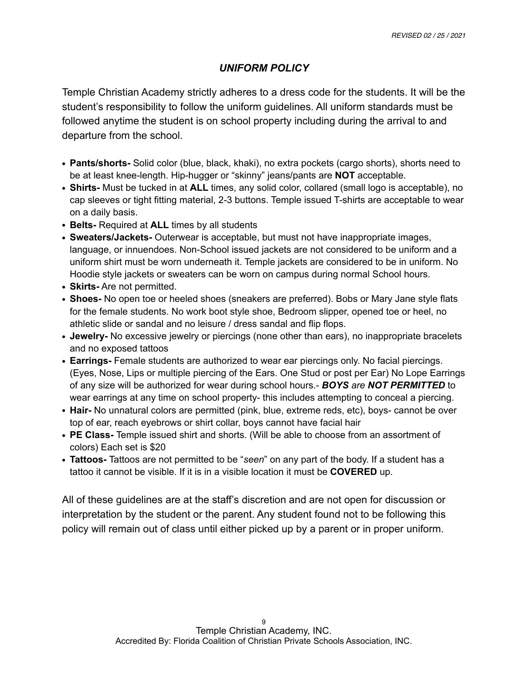# *UNIFORM POLICY*

Temple Christian Academy strictly adheres to a dress code for the students. It will be the student's responsibility to follow the uniform guidelines. All uniform standards must be followed anytime the student is on school property including during the arrival to and departure from the school.

- **• Pants/shorts-** Solid color (blue, black, khaki), no extra pockets (cargo shorts), shorts need to be at least knee-length. Hip-hugger or "skinny" jeans/pants are **NOT** acceptable.
- **• Shirts-** Must be tucked in at **ALL** times, any solid color, collared (small logo is acceptable), no cap sleeves or tight fitting material, 2-3 buttons. Temple issued T-shirts are acceptable to wear on a daily basis.
- **• Belts-** Required at **ALL** times by all students
- **• Sweaters/Jackets-** Outerwear is acceptable, but must not have inappropriate images, language, or innuendoes. Non-School issued jackets are not considered to be uniform and a uniform shirt must be worn underneath it. Temple jackets are considered to be in uniform. No Hoodie style jackets or sweaters can be worn on campus during normal School hours.
- **• Skirts-** Are not permitted.
- **• Shoes-** No open toe or heeled shoes (sneakers are preferred). Bobs or Mary Jane style flats for the female students. No work boot style shoe, Bedroom slipper, opened toe or heel, no athletic slide or sandal and no leisure / dress sandal and flip flops.
- **• Jewelry-** No excessive jewelry or piercings (none other than ears), no inappropriate bracelets and no exposed tattoos
- **• Earrings-** Female students are authorized to wear ear piercings only. No facial piercings. (Eyes, Nose, Lips or multiple piercing of the Ears. One Stud or post per Ear) No Lope Earrings of any size will be authorized for wear during school hours.- *BOYS are NOT PERMITTED* to wear earrings at any time on school property- this includes attempting to conceal a piercing.
- **• Hair-** No unnatural colors are permitted (pink, blue, extreme reds, etc), boys- cannot be over top of ear, reach eyebrows or shirt collar, boys cannot have facial hair
- **• PE Class-** Temple issued shirt and shorts. (Will be able to choose from an assortment of colors) Each set is \$20
- **• Tattoos-** Tattoos are not permitted to be "*seen*" on any part of the body. If a student has a tattoo it cannot be visible. If it is in a visible location it must be **COVERED** up.

All of these guidelines are at the staff's discretion and are not open for discussion or interpretation by the student or the parent. Any student found not to be following this policy will remain out of class until either picked up by a parent or in proper uniform.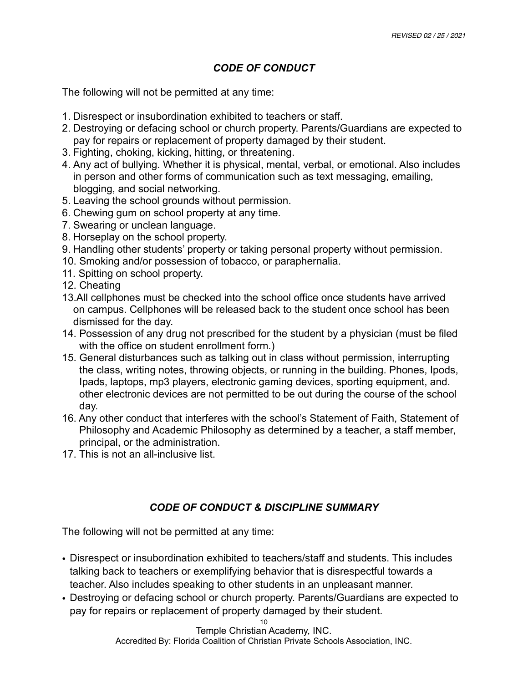# *CODE OF CONDUCT*

The following will not be permitted at any time:

- 1. Disrespect or insubordination exhibited to teachers or staff.
- 2. Destroying or defacing school or church property. Parents/Guardians are expected to pay for repairs or replacement of property damaged by their student.
- 3. Fighting, choking, kicking, hitting, or threatening.
- 4. Any act of bullying. Whether it is physical, mental, verbal, or emotional. Also includes in person and other forms of communication such as text messaging, emailing, blogging, and social networking.
- 5. Leaving the school grounds without permission.
- 6. Chewing gum on school property at any time.
- 7. Swearing or unclean language.
- 8. Horseplay on the school property.
- 9. Handling other students' property or taking personal property without permission.
- 10. Smoking and/or possession of tobacco, or paraphernalia.
- 11. Spitting on school property.
- 12. Cheating
- 13.All cellphones must be checked into the school office once students have arrived on campus. Cellphones will be released back to the student once school has been dismissed for the day.
- 14. Possession of any drug not prescribed for the student by a physician (must be filed with the office on student enrollment form.)
- 15. General disturbances such as talking out in class without permission, interrupting the class, writing notes, throwing objects, or running in the building. Phones, Ipods, Ipads, laptops, mp3 players, electronic gaming devices, sporting equipment, and. other electronic devices are not permitted to be out during the course of the school day.
- 16. Any other conduct that interferes with the school's Statement of Faith, Statement of Philosophy and Academic Philosophy as determined by a teacher, a staff member, principal, or the administration.
- 17. This is not an all-inclusive list.

# *CODE OF CONDUCT & DISCIPLINE SUMMARY*

The following will not be permitted at any time:

- Disrespect or insubordination exhibited to teachers/staff and students. This includes talking back to teachers or exemplifying behavior that is disrespectful towards a teacher. Also includes speaking to other students in an unpleasant manner.
- Destroying or defacing school or church property. Parents/Guardians are expected to pay for repairs or replacement of property damaged by their student.

10 Temple Christian Academy, INC. Accredited By: Florida Coalition of Christian Private Schools Association, INC.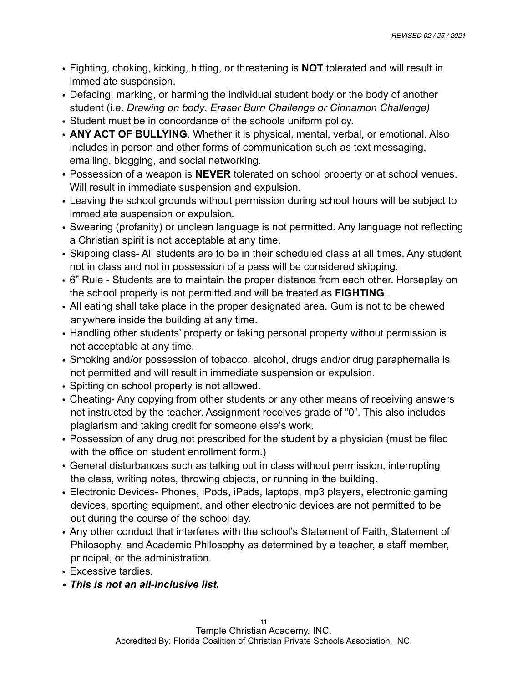- Fighting, choking, kicking, hitting, or threatening is **NOT** tolerated and will result in immediate suspension.
- Defacing, marking, or harming the individual student body or the body of another student (i.e. *Drawing on body*, *Eraser Burn Challenge or Cinnamon Challenge)*
- Student must be in concordance of the schools uniform policy.
- **ANY ACT OF BULLYING**. Whether it is physical, mental, verbal, or emotional. Also includes in person and other forms of communication such as text messaging, emailing, blogging, and social networking.
- Possession of a weapon is **NEVER** tolerated on school property or at school venues. Will result in immediate suspension and expulsion.
- Leaving the school grounds without permission during school hours will be subject to immediate suspension or expulsion.
- Swearing (profanity) or unclean language is not permitted. Any language not reflecting a Christian spirit is not acceptable at any time.
- Skipping class- All students are to be in their scheduled class at all times. Any student not in class and not in possession of a pass will be considered skipping.
- 6" Rule Students are to maintain the proper distance from each other. Horseplay on the school property is not permitted and will be treated as **FIGHTING**.
- All eating shall take place in the proper designated area. Gum is not to be chewed anywhere inside the building at any time.
- Handling other students' property or taking personal property without permission is not acceptable at any time.
- Smoking and/or possession of tobacco, alcohol, drugs and/or drug paraphernalia is not permitted and will result in immediate suspension or expulsion.
- Spitting on school property is not allowed.
- Cheating- Any copying from other students or any other means of receiving answers not instructed by the teacher. Assignment receives grade of "0". This also includes plagiarism and taking credit for someone else's work.
- Possession of any drug not prescribed for the student by a physician (must be filed with the office on student enrollment form.)
- General disturbances such as talking out in class without permission, interrupting the class, writing notes, throwing objects, or running in the building.
- Electronic Devices- Phones, iPods, iPads, laptops, mp3 players, electronic gaming devices, sporting equipment, and other electronic devices are not permitted to be out during the course of the school day.
- Any other conduct that interferes with the school's Statement of Faith, Statement of Philosophy, and Academic Philosophy as determined by a teacher, a staff member, principal, or the administration.
- Excessive tardies.
- *• This is not an all-inclusive list.*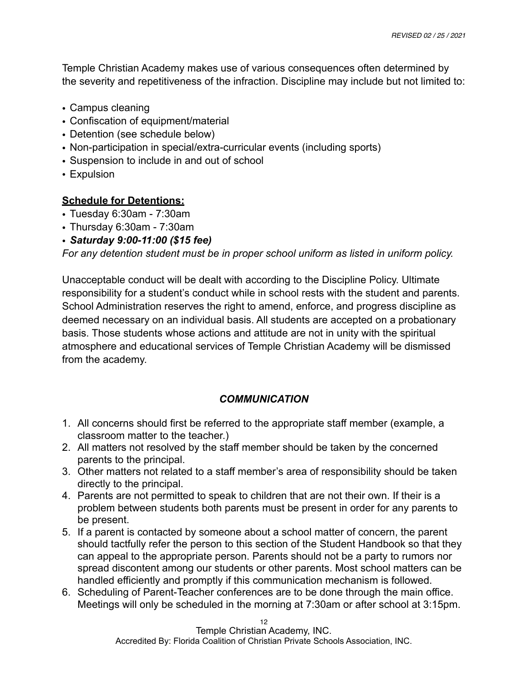Temple Christian Academy makes use of various consequences often determined by the severity and repetitiveness of the infraction. Discipline may include but not limited to:

- Campus cleaning
- Confiscation of equipment/material
- Detention (see schedule below)
- Non-participation in special/extra-curricular events (including sports)
- Suspension to include in and out of school
- Expulsion

# **Schedule for Detentions:**

- Tuesday 6:30am 7:30am
- Thursday 6:30am 7:30am
- *Saturday 9:00-11:00 (\$15 fee)*

*For any detention student must be in proper school uniform as listed in uniform policy.* 

Unacceptable conduct will be dealt with according to the Discipline Policy. Ultimate responsibility for a student's conduct while in school rests with the student and parents. School Administration reserves the right to amend, enforce, and progress discipline as deemed necessary on an individual basis. All students are accepted on a probationary basis. Those students whose actions and attitude are not in unity with the spiritual atmosphere and educational services of Temple Christian Academy will be dismissed from the academy.

# *COMMUNICATION*

- 1. All concerns should first be referred to the appropriate staff member (example, a classroom matter to the teacher.)
- 2. All matters not resolved by the staff member should be taken by the concerned parents to the principal.
- 3. Other matters not related to a staff member's area of responsibility should be taken directly to the principal.
- 4. Parents are not permitted to speak to children that are not their own. If their is a problem between students both parents must be present in order for any parents to be present.
- 5. If a parent is contacted by someone about a school matter of concern, the parent should tactfully refer the person to this section of the Student Handbook so that they can appeal to the appropriate person. Parents should not be a party to rumors nor spread discontent among our students or other parents. Most school matters can be handled efficiently and promptly if this communication mechanism is followed.
- 6. Scheduling of Parent-Teacher conferences are to be done through the main office. Meetings will only be scheduled in the morning at 7:30am or after school at 3:15pm.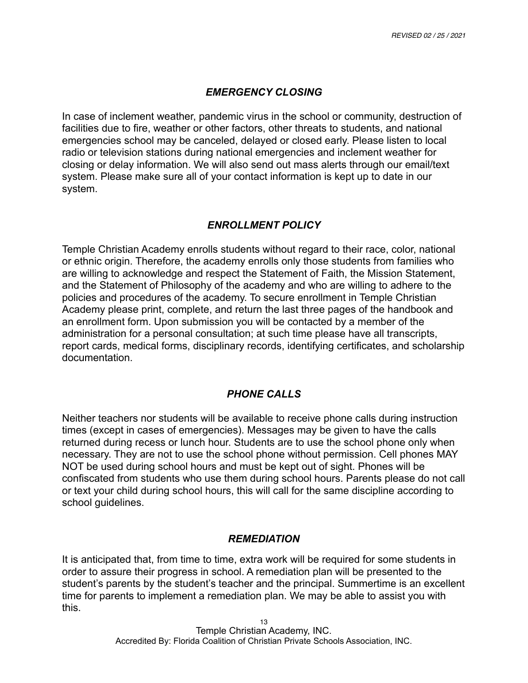#### *EMERGENCY CLOSING*

In case of inclement weather, pandemic virus in the school or community, destruction of facilities due to fire, weather or other factors, other threats to students, and national emergencies school may be canceled, delayed or closed early. Please listen to local radio or television stations during national emergencies and inclement weather for closing or delay information. We will also send out mass alerts through our email/text system. Please make sure all of your contact information is kept up to date in our system.

## *ENROLLMENT POLICY*

Temple Christian Academy enrolls students without regard to their race, color, national or ethnic origin. Therefore, the academy enrolls only those students from families who are willing to acknowledge and respect the Statement of Faith, the Mission Statement, and the Statement of Philosophy of the academy and who are willing to adhere to the policies and procedures of the academy. To secure enrollment in Temple Christian Academy please print, complete, and return the last three pages of the handbook and an enrollment form. Upon submission you will be contacted by a member of the administration for a personal consultation; at such time please have all transcripts, report cards, medical forms, disciplinary records, identifying certificates, and scholarship documentation.

#### *PHONE CALLS*

Neither teachers nor students will be available to receive phone calls during instruction times (except in cases of emergencies). Messages may be given to have the calls returned during recess or lunch hour. Students are to use the school phone only when necessary. They are not to use the school phone without permission. Cell phones MAY NOT be used during school hours and must be kept out of sight. Phones will be confiscated from students who use them during school hours. Parents please do not call or text your child during school hours, this will call for the same discipline according to school guidelines.

#### *REMEDIATION*

It is anticipated that, from time to time, extra work will be required for some students in order to assure their progress in school. A remediation plan will be presented to the student's parents by the student's teacher and the principal. Summertime is an excellent time for parents to implement a remediation plan. We may be able to assist you with this.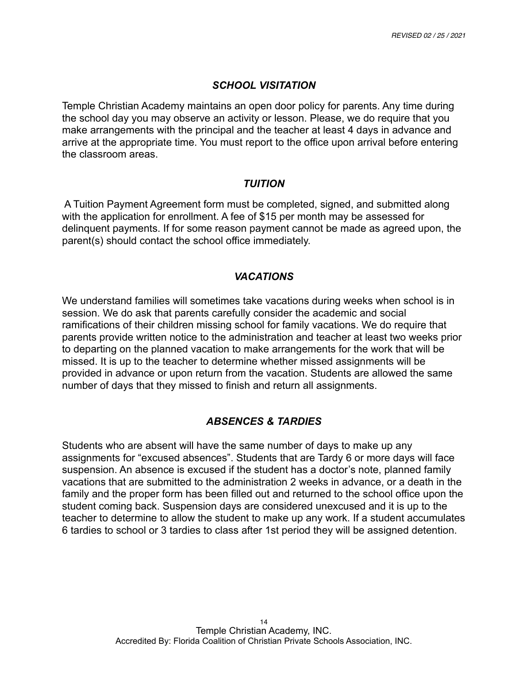#### *SCHOOL VISITATION*

Temple Christian Academy maintains an open door policy for parents. Any time during the school day you may observe an activity or lesson. Please, we do require that you make arrangements with the principal and the teacher at least 4 days in advance and arrive at the appropriate time. You must report to the office upon arrival before entering the classroom areas.

#### *TUITION*

 A Tuition Payment Agreement form must be completed, signed, and submitted along with the application for enrollment. A fee of \$15 per month may be assessed for delinquent payments. If for some reason payment cannot be made as agreed upon, the parent(s) should contact the school office immediately.

## *VACATIONS*

We understand families will sometimes take vacations during weeks when school is in session. We do ask that parents carefully consider the academic and social ramifications of their children missing school for family vacations. We do require that parents provide written notice to the administration and teacher at least two weeks prior to departing on the planned vacation to make arrangements for the work that will be missed. It is up to the teacher to determine whether missed assignments will be provided in advance or upon return from the vacation. Students are allowed the same number of days that they missed to finish and return all assignments.

# *ABSENCES & TARDIES*

Students who are absent will have the same number of days to make up any assignments for "excused absences". Students that are Tardy 6 or more days will face suspension. An absence is excused if the student has a doctor's note, planned family vacations that are submitted to the administration 2 weeks in advance, or a death in the family and the proper form has been filled out and returned to the school office upon the student coming back. Suspension days are considered unexcused and it is up to the teacher to determine to allow the student to make up any work. If a student accumulates 6 tardies to school or 3 tardies to class after 1st period they will be assigned detention.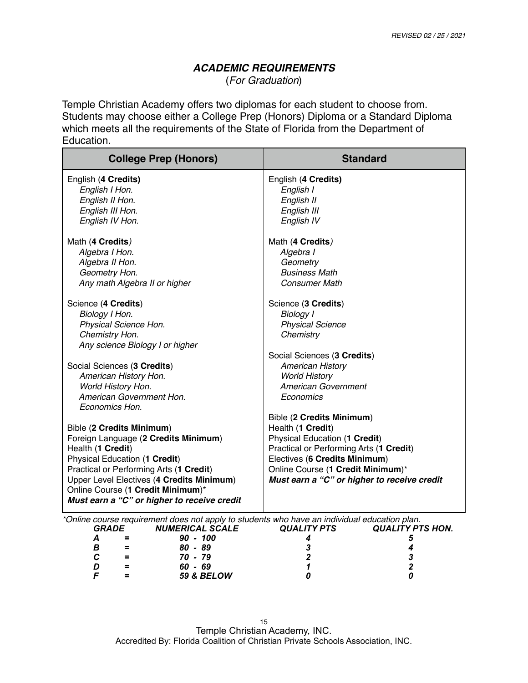#### *ACADEMIC REQUIREMENTS* (*For Graduation*)

Temple Christian Academy offers two diplomas for each student to choose from. Students may choose either a College Prep (Honors) Diploma or a Standard Diploma which meets all the requirements of the State of Florida from the Department of Education.

| <b>College Prep (Honors)</b>                                                                                                                                                            | <b>Standard</b>                             |  |
|-----------------------------------------------------------------------------------------------------------------------------------------------------------------------------------------|---------------------------------------------|--|
| English (4 Credits)                                                                                                                                                                     | English (4 Credits)                         |  |
| English I Hon.                                                                                                                                                                          | English I                                   |  |
| English II Hon.                                                                                                                                                                         | English II                                  |  |
| English III Hon.                                                                                                                                                                        | English III                                 |  |
| English IV Hon.                                                                                                                                                                         | English IV                                  |  |
| Math (4 Credits)                                                                                                                                                                        | Math (4 Credits)                            |  |
| Algebra I Hon.                                                                                                                                                                          | Algebra I                                   |  |
| Algebra II Hon.                                                                                                                                                                         | Geometry                                    |  |
| Geometry Hon.                                                                                                                                                                           | <b>Business Math</b>                        |  |
| Any math Algebra II or higher                                                                                                                                                           | <b>Consumer Math</b>                        |  |
| Science (4 Credits)                                                                                                                                                                     | Science (3 Credits)                         |  |
| Biology I Hon.                                                                                                                                                                          | <b>Biology I</b>                            |  |
| Physical Science Hon.                                                                                                                                                                   | <b>Physical Science</b>                     |  |
| Chemistry Hon.                                                                                                                                                                          | Chemistry                                   |  |
| Any science Biology I or higher                                                                                                                                                         |                                             |  |
|                                                                                                                                                                                         | Social Sciences (3 Credits)                 |  |
| Social Sciences (3 Credits)                                                                                                                                                             | <b>American History</b>                     |  |
| American History Hon.                                                                                                                                                                   | <b>World History</b>                        |  |
| World History Hon.                                                                                                                                                                      | American Government                         |  |
| American Government Hon.                                                                                                                                                                | Economics                                   |  |
| Economics Hon.                                                                                                                                                                          |                                             |  |
|                                                                                                                                                                                         | Bible (2 Credits Minimum)                   |  |
| <b>Bible (2 Credits Minimum)</b>                                                                                                                                                        | Health (1 Credit)                           |  |
| Foreign Language (2 Credits Minimum)                                                                                                                                                    | Physical Education (1 Credit)               |  |
| Health (1 Credit)                                                                                                                                                                       | Practical or Performing Arts (1 Credit)     |  |
| Physical Education (1 Credit)                                                                                                                                                           | Electives (6 Credits Minimum)               |  |
| Practical or Performing Arts (1 Credit)                                                                                                                                                 | Online Course (1 Credit Minimum)*           |  |
| Upper Level Electives (4 Credits Minimum)                                                                                                                                               | Must earn a "C" or higher to receive credit |  |
| Online Course (1 Credit Minimum)*                                                                                                                                                       |                                             |  |
| Must earn a "C" or higher to receive credit                                                                                                                                             |                                             |  |
| *Online course requirement does not apply to students who have an individual education plan.<br><b>GRADE</b><br><b>QUALITY PTS</b><br><b>QUALITY PTS HON.</b><br><b>NUMERICAL SCALE</b> |                                             |  |
| $\boldsymbol{A}$<br>$90 - 100$<br>$=$                                                                                                                                                   | 4<br>5                                      |  |
| В<br>$80 - 89$<br>$=$                                                                                                                                                                   | 3<br>4                                      |  |
| $\mathbf{C}$<br>$70 - 79$<br>$=$                                                                                                                                                        | $\boldsymbol{2}$<br>3                       |  |
| D<br>60 - 69<br>$\equiv$                                                                                                                                                                | $\overline{2}$<br>1                         |  |
| F<br>59 & BELOW<br>$\equiv$                                                                                                                                                             | ŋ<br>Ω                                      |  |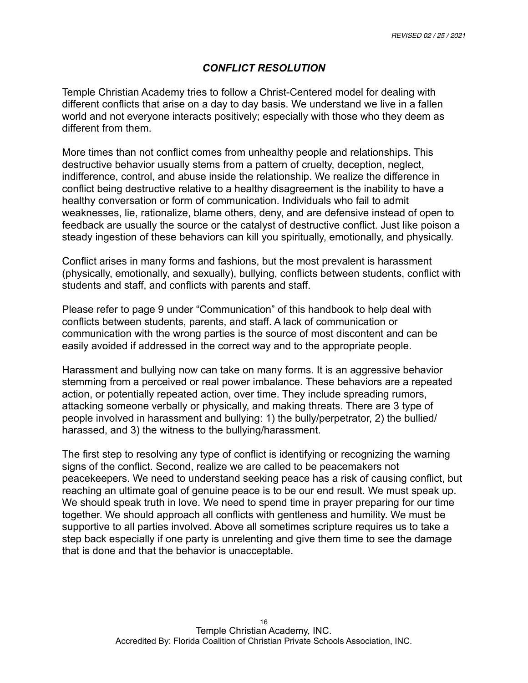# *CONFLICT RESOLUTION*

Temple Christian Academy tries to follow a Christ-Centered model for dealing with different conflicts that arise on a day to day basis. We understand we live in a fallen world and not everyone interacts positively; especially with those who they deem as different from them.

More times than not conflict comes from unhealthy people and relationships. This destructive behavior usually stems from a pattern of cruelty, deception, neglect, indifference, control, and abuse inside the relationship. We realize the difference in conflict being destructive relative to a healthy disagreement is the inability to have a healthy conversation or form of communication. Individuals who fail to admit weaknesses, lie, rationalize, blame others, deny, and are defensive instead of open to feedback are usually the source or the catalyst of destructive conflict. Just like poison a steady ingestion of these behaviors can kill you spiritually, emotionally, and physically.

Conflict arises in many forms and fashions, but the most prevalent is harassment (physically, emotionally, and sexually), bullying, conflicts between students, conflict with students and staff, and conflicts with parents and staff.

Please refer to page 9 under "Communication" of this handbook to help deal with conflicts between students, parents, and staff. A lack of communication or communication with the wrong parties is the source of most discontent and can be easily avoided if addressed in the correct way and to the appropriate people.

Harassment and bullying now can take on many forms. It is an aggressive behavior stemming from a perceived or real power imbalance. These behaviors are a repeated action, or potentially repeated action, over time. They include spreading rumors, attacking someone verbally or physically, and making threats. There are 3 type of people involved in harassment and bullying: 1) the bully/perpetrator, 2) the bullied/ harassed, and 3) the witness to the bullying/harassment.

The first step to resolving any type of conflict is identifying or recognizing the warning signs of the conflict. Second, realize we are called to be peacemakers not peacekeepers. We need to understand seeking peace has a risk of causing conflict, but reaching an ultimate goal of genuine peace is to be our end result. We must speak up. We should speak truth in love. We need to spend time in prayer preparing for our time together. We should approach all conflicts with gentleness and humility. We must be supportive to all parties involved. Above all sometimes scripture requires us to take a step back especially if one party is unrelenting and give them time to see the damage that is done and that the behavior is unacceptable.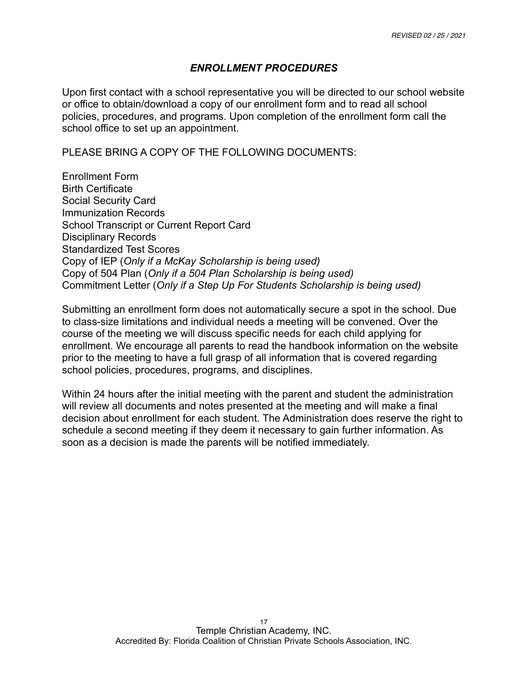# *ENROLLMENT PROCEDURES*

Upon first contact with a school representative you will be directed to our school website or office to obtain/download a copy of our enrollment form and to read all school policies, procedures, and programs. Upon completion of the enrollment form call the school office to set up an appointment.

PLEASE BRING A COPY OF THE FOLLOWING DOCUMENTS:

Enrollment Form Birth Certificate Social Security Card Immunization Records School Transcript or Current Report Card Disciplinary Records Standardized Test Scores Copy of IEP (*Only if a McKay Scholarship is being used)*  Copy of 504 Plan (*Only if a 504 Plan Scholarship is being used)* Commitment Letter (*Only if a Step Up For Students Scholarship is being used)*

Submitting an enrollment form does not automatically secure a spot in the school. Due to class-size limitations and individual needs a meeting will be convened. Over the course of the meeting we will discuss specific needs for each child applying for enrollment. We encourage all parents to read the handbook information on the website prior to the meeting to have a full grasp of all information that is covered regarding school policies, procedures, programs, and disciplines.

Within 24 hours after the initial meeting with the parent and student the administration will review all documents and notes presented at the meeting and will make a final decision about enrollment for each student. The Administration does reserve the right to schedule a second meeting if they deem it necessary to gain further information. As soon as a decision is made the parents will be notified immediately.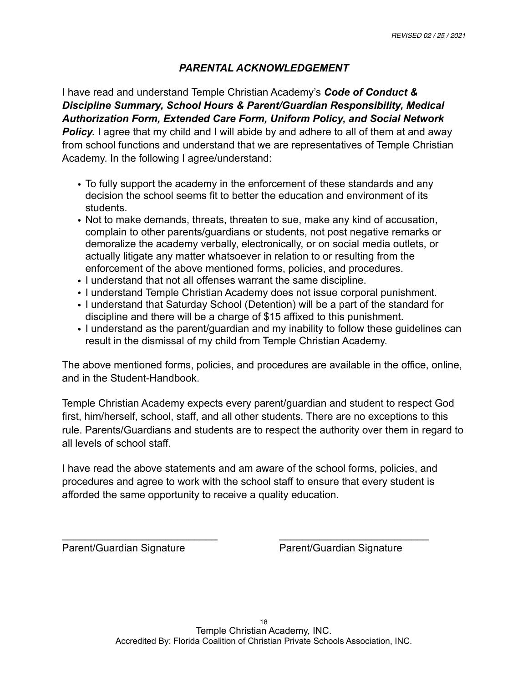#### *PARENTAL ACKNOWLEDGEMENT*

I have read and understand Temple Christian Academy's *Code of Conduct & Discipline Summary, School Hours & Parent/Guardian Responsibility, Medical Authorization Form, Extended Care Form, Uniform Policy, and Social Network*  **Policy.** I agree that my child and I will abide by and adhere to all of them at and away from school functions and understand that we are representatives of Temple Christian Academy. In the following I agree/understand:

- To fully support the academy in the enforcement of these standards and any decision the school seems fit to better the education and environment of its students.
- Not to make demands, threats, threaten to sue, make any kind of accusation, complain to other parents/guardians or students, not post negative remarks or demoralize the academy verbally, electronically, or on social media outlets, or actually litigate any matter whatsoever in relation to or resulting from the enforcement of the above mentioned forms, policies, and procedures.
- I understand that not all offenses warrant the same discipline.
- I understand Temple Christian Academy does not issue corporal punishment.
- I understand that Saturday School (Detention) will be a part of the standard for discipline and there will be a charge of \$15 affixed to this punishment.
- I understand as the parent/guardian and my inability to follow these guidelines can result in the dismissal of my child from Temple Christian Academy.

The above mentioned forms, policies, and procedures are available in the office, online, and in the Student-Handbook.

Temple Christian Academy expects every parent/guardian and student to respect God first, him/herself, school, staff, and all other students. There are no exceptions to this rule. Parents/Guardians and students are to respect the authority over them in regard to all levels of school staff.

I have read the above statements and am aware of the school forms, policies, and procedures and agree to work with the school staff to ensure that every student is afforded the same opportunity to receive a quality education.

 $\frac{1}{2}$  ,  $\frac{1}{2}$  ,  $\frac{1}{2}$  ,  $\frac{1}{2}$  ,  $\frac{1}{2}$  ,  $\frac{1}{2}$  ,  $\frac{1}{2}$  ,  $\frac{1}{2}$  ,  $\frac{1}{2}$  ,  $\frac{1}{2}$  ,  $\frac{1}{2}$  ,  $\frac{1}{2}$  ,  $\frac{1}{2}$  ,  $\frac{1}{2}$  ,  $\frac{1}{2}$  ,  $\frac{1}{2}$  ,  $\frac{1}{2}$  ,  $\frac{1}{2}$  ,  $\frac{1$ 

Parent/Guardian Signature Parent/Guardian Signature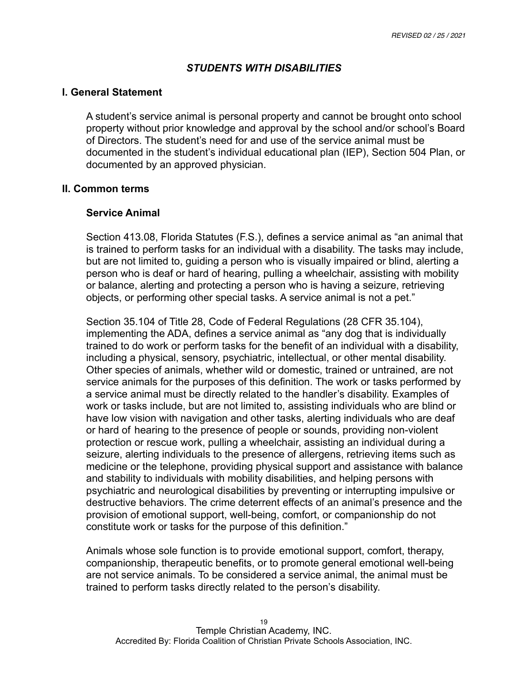# *STUDENTS WITH DISABILITIES*

#### **I. General Statement**

 A student's service animal is personal property and cannot be brought onto school property without prior knowledge and approval by the school and/or school's Board of Directors. The student's need for and use of the service animal must be documented in the student's individual educational plan (IEP), Section 504 Plan, or documented by an approved physician.

#### **II. Common terms**

#### **Service Animal**

Section 413.08, Florida Statutes (F.S.), defines a service animal as "an animal that is trained to perform tasks for an individual with a disability. The tasks may include, but are not limited to, guiding a person who is visually impaired or blind, alerting a person who is deaf or hard of hearing, pulling a wheelchair, assisting with mobility or balance, alerting and protecting a person who is having a seizure, retrieving objects, or performing other special tasks. A service animal is not a pet."

 Section 35.104 of Title 28, Code of Federal Regulations (28 CFR 35.104), implementing the ADA, defines a service animal as "any dog that is individually trained to do work or perform tasks for the benefit of an individual with a disability, including a physical, sensory, psychiatric, intellectual, or other mental disability. Other species of animals, whether wild or domestic, trained or untrained, are not service animals for the purposes of this definition. The work or tasks performed by a service animal must be directly related to the handler's disability. Examples of work or tasks include, but are not limited to, assisting individuals who are blind or have low vision with navigation and other tasks, alerting individuals who are deaf or hard of hearing to the presence of people or sounds, providing non-violent protection or rescue work, pulling a wheelchair, assisting an individual during a seizure, alerting individuals to the presence of allergens, retrieving items such as medicine or the telephone, providing physical support and assistance with balance and stability to individuals with mobility disabilities, and helping persons with psychiatric and neurological disabilities by preventing or interrupting impulsive or destructive behaviors. The crime deterrent effects of an animal's presence and the provision of emotional support, well-being, comfort, or companionship do not constitute work or tasks for the purpose of this definition."

 Animals whose sole function is to provide emotional support, comfort, therapy, companionship, therapeutic benefits, or to promote general emotional well-being are not service animals. To be considered a service animal, the animal must be trained to perform tasks directly related to the person's disability.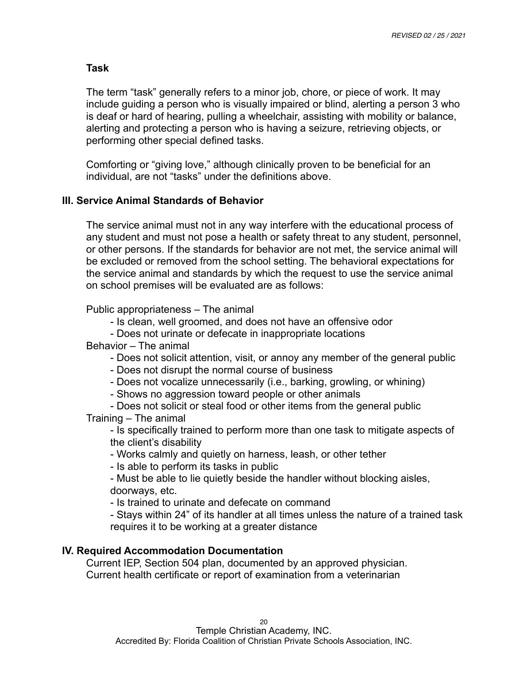#### **Task**

 The term "task" generally refers to a minor job, chore, or piece of work. It may include guiding a person who is visually impaired or blind, alerting a person 3 who is deaf or hard of hearing, pulling a wheelchair, assisting with mobility or balance, alerting and protecting a person who is having a seizure, retrieving objects, or performing other special defined tasks.

 Comforting or "giving love," although clinically proven to be beneficial for an individual, are not "tasks" under the definitions above.

#### **III. Service Animal Standards of Behavior**

 The service animal must not in any way interfere with the educational process of any student and must not pose a health or safety threat to any student, personnel, or other persons. If the standards for behavior are not met, the service animal will be excluded or removed from the school setting. The behavioral expectations for the service animal and standards by which the request to use the service animal on school premises will be evaluated are as follows:

Public appropriateness – The animal

- Is clean, well groomed, and does not have an offensive odor
- Does not urinate or defecate in inappropriate locations

Behavior – The animal

- Does not solicit attention, visit, or annoy any member of the general public
- Does not disrupt the normal course of business
- Does not vocalize unnecessarily (i.e., barking, growling, or whining)
- Shows no aggression toward people or other animals
- Does not solicit or steal food or other items from the general public Training – The animal

 - Is specifically trained to perform more than one task to mitigate aspects of the client's disability

- Works calmly and quietly on harness, leash, or other tether
- Is able to perform its tasks in public

 - Must be able to lie quietly beside the handler without blocking aisles, doorways, etc.

- Is trained to urinate and defecate on command

 - Stays within 24" of its handler at all times unless the nature of a trained task requires it to be working at a greater distance

#### **IV. Required Accommodation Documentation**

 Current IEP, Section 504 plan, documented by an approved physician. Current health certificate or report of examination from a veterinarian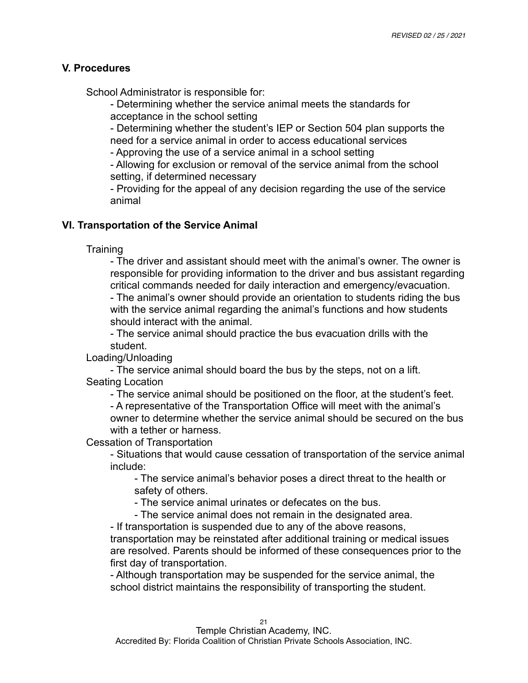#### **V. Procedures**

School Administrator is responsible for:

 - Determining whether the service animal meets the standards for acceptance in the school setting

 - Determining whether the student's IEP or Section 504 plan supports the need for a service animal in order to access educational services

- Approving the use of a service animal in a school setting

 - Allowing for exclusion or removal of the service animal from the school setting, if determined necessary

 - Providing for the appeal of any decision regarding the use of the service animal

# **VI. Transportation of the Service Animal**

**Training** 

 - The driver and assistant should meet with the animal's owner. The owner is responsible for providing information to the driver and bus assistant regarding critical commands needed for daily interaction and emergency/evacuation. - The animal's owner should provide an orientation to students riding the bus with the service animal regarding the animal's functions and how students should interact with the animal.

 - The service animal should practice the bus evacuation drills with the student.

Loading/Unloading

 - The service animal should board the bus by the steps, not on a lift. Seating Location

- The service animal should be positioned on the floor, at the student's feet.

 - A representative of the Transportation Office will meet with the animal's owner to determine whether the service animal should be secured on the bus with a tether or harness.

Cessation of Transportation

 - Situations that would cause cessation of transportation of the service animal include:

 - The service animal's behavior poses a direct threat to the health or safety of others.

- The service animal urinates or defecates on the bus.

- The service animal does not remain in the designated area.

- If transportation is suspended due to any of the above reasons,

 transportation may be reinstated after additional training or medical issues are resolved. Parents should be informed of these consequences prior to the first day of transportation.

 - Although transportation may be suspended for the service animal, the school district maintains the responsibility of transporting the student.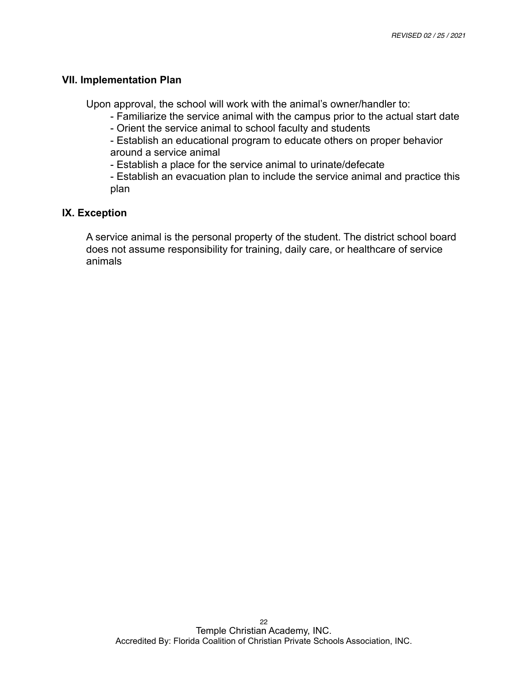#### **VII. Implementation Plan**

Upon approval, the school will work with the animal's owner/handler to:

- Familiarize the service animal with the campus prior to the actual start date
- Orient the service animal to school faculty and students

 - Establish an educational program to educate others on proper behavior around a service animal

- Establish a place for the service animal to urinate/defecate

 - Establish an evacuation plan to include the service animal and practice this plan

# **IX. Exception**

 A service animal is the personal property of the student. The district school board does not assume responsibility for training, daily care, or healthcare of service animals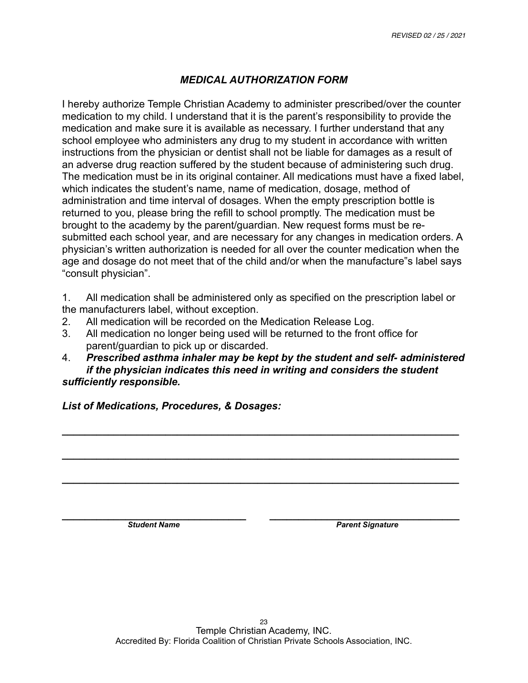# *MEDICAL AUTHORIZATION FORM*

I hereby authorize Temple Christian Academy to administer prescribed/over the counter medication to my child. I understand that it is the parent's responsibility to provide the medication and make sure it is available as necessary. I further understand that any school employee who administers any drug to my student in accordance with written instructions from the physician or dentist shall not be liable for damages as a result of an adverse drug reaction suffered by the student because of administering such drug. The medication must be in its original container. All medications must have a fixed label, which indicates the student's name, name of medication, dosage, method of administration and time interval of dosages. When the empty prescription bottle is returned to you, please bring the refill to school promptly. The medication must be brought to the academy by the parent/guardian. New request forms must be resubmitted each school year, and are necessary for any changes in medication orders. A physician's written authorization is needed for all over the counter medication when the age and dosage do not meet that of the child and/or when the manufacture"s label says "consult physician".

1. All medication shall be administered only as specified on the prescription label or the manufacturers label, without exception.

- 2. All medication will be recorded on the Medication Release Log.
- 3. All medication no longer being used will be returned to the front office for parent/guardian to pick up or discarded.
- 4. *Prescribed asthma inhaler may be kept by the student and self- administered if the physician indicates this need in writing and considers the student sufficiently responsible.*

*\_\_\_\_\_\_\_\_\_\_\_\_\_\_\_\_\_\_\_\_\_\_\_\_\_\_\_\_\_\_\_\_\_\_\_\_\_\_\_\_\_\_\_\_\_\_\_\_\_\_\_\_\_\_\_\_\_\_\_\_\_\_\_\_\_\_\_\_\_* 

*\_\_\_\_\_\_\_\_\_\_\_\_\_\_\_\_\_\_\_\_\_\_\_\_\_\_\_\_\_\_\_\_\_\_\_\_\_\_\_\_\_\_\_\_\_\_\_\_\_\_\_\_\_\_\_\_\_\_\_\_\_\_\_\_\_\_\_\_\_* 

*\_\_\_\_\_\_\_\_\_\_\_\_\_\_\_\_\_\_\_\_\_\_\_\_\_\_\_\_\_\_\_\_\_\_\_\_\_\_\_\_\_\_\_\_\_\_\_\_\_\_\_\_\_\_\_\_\_\_\_\_\_\_\_\_\_\_\_\_\_* 

*List of Medications, Procedures, & Dosages:* 

*\_\_\_\_\_\_\_\_\_\_\_\_\_\_\_\_\_\_\_\_\_\_\_\_\_\_\_\_\_\_\_\_ \_\_\_\_\_\_\_\_\_\_\_\_\_\_\_\_\_\_\_\_\_\_\_\_\_\_\_\_\_\_\_\_\_*  **Student Name** *Parent Signature Parent Signature*